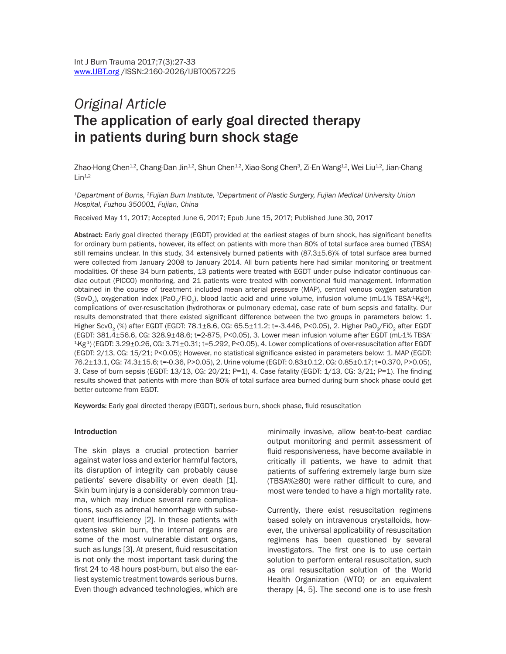# *Original Article*  The application of early goal directed therapy in patients during burn shock stage

Zhao-Hong Chen<sup>1.2</sup>, Chang-Dan Jin<sup>1.2</sup>, Shun Chen<sup>1.2</sup>, Xiao-Song Chen<sup>3</sup>, Zi-En Wang<sup>1.2</sup>, Wei Liu<sup>1.2</sup>, Jian-Chang  $Lin<sup>1,2</sup>$ 

*1Department of Burns, 2Fujian Burn Institute, 3Department of Plastic Surgery, Fujian Medical University Union Hospital, Fuzhou 350001, Fujian, China*

Received May 11, 2017; Accepted June 6, 2017; Epub June 15, 2017; Published June 30, 2017

Abstract: Early goal directed therapy (EGDT) provided at the earliest stages of burn shock, has significant benefits for ordinary burn patients, however, its effect on patients with more than 80% of total surface area burned (TBSA) still remains unclear. In this study, 34 extensively burned patients with (87.3±5.6)% of total surface area burned were collected from January 2008 to January 2014. All burn patients here had similar monitoring or treatment modalities. Of these 34 burn patients, 13 patients were treated with EGDT under pulse indicator continuous cardiac output (PICCO) monitoring, and 21 patients were treated with conventional fluid management. Information obtained in the course of treatment included mean arterial pressure (MAP), central venous oxygen saturation (ScvO<sub>2</sub>), oxygenation index (PaO<sub>2</sub>/FiO<sub>2</sub>), blood lactic acid and urine volume, infusion volume (mL-1% TBSA<sup>-1</sup>Kg<sup>-1</sup>), complications of over-resuscitation (hydrothorax or pulmonary edema), case rate of burn sepsis and fatality. Our results demonstrated that there existed significant difference between the two groups in parameters below: 1. Higher ScvO<sub>2</sub> (%) after EGDT (EGDT: 78.1±8.6, CG: 65.5±11.2; t=-3.446, P<0.05), 2. Higher PaO<sub>~</sub>/FiO<sub>2</sub> after EGDT (EGDT: 381.4±56.6, CG: 328.9±48.6; t=2-875, P<0.05), 3. Lower mean infusion volume after EGDT (mL·1% TBSA- $^{1}$ Kg<sup>1</sup>) (EGDT: 3.29±0.26, CG: 3.71±0.31; t=5.292, P<0.05), 4. Lower complications of over-resuscitation after EGDT (EGDT: 2/13, CG: 15/21; P<0.05); However, no statistical significance existed in parameters below: 1. MAP (EGDT: 76.2±13.1, CG: 74.3±15.6; t=-0.36, P>0.05), 2. Urine volume (EGDT: 0.83±0.12, CG: 0.85±0.17; t=0.370, P>0.05), 3. Case of burn sepsis (EGDT: 13/13, CG: 20/21; P=1), 4. Case fatality (EGDT: 1/13, CG: 3/21; P=1). The finding results showed that patients with more than 80% of total surface area burned during burn shock phase could get better outcome from EGDT.

Keywords: Early goal directed therapy (EGDT), serious burn, shock phase, fluid resuscitation

#### Introduction

The skin plays a crucial protection barrier against water loss and exterior harmful factors, its disruption of integrity can probably cause patients' severe disability or even death [1]. Skin burn injury is a considerably common trauma, which may induce several rare complications, such as adrenal hemorrhage with subsequent insufficiency [2]. In these patients with extensive skin burn, the internal organs are some of the most vulnerable distant organs, such as lungs [3]. At present, fluid resuscitation is not only the most important task during the first 24 to 48 hours post-burn, but also the earliest systemic treatment towards serious burns. Even though advanced technologies, which are minimally invasive, allow beat-to-beat cardiac output monitoring and permit assessment of fluid responsiveness, have become available in critically ill patients, we have to admit that patients of suffering extremely large burn size (TBSA%≥80) were rather difficult to cure, and most were tended to have a high mortality rate.

Currently, there exist resuscitation regimens based solely on intravenous crystalloids, however, the universal applicability of resuscitation regimens has been questioned by several investigators. The first one is to use certain solution to perform enteral resuscitation, such as oral resuscitation solution of the World Health Organization (WTO) or an equivalent therapy [4, 5]. The second one is to use fresh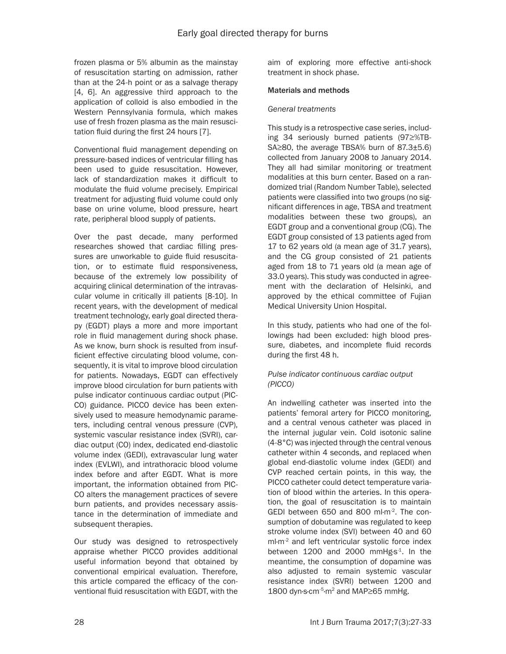frozen plasma or 5% albumin as the mainstay of resuscitation starting on admission, rather than at the 24-h point or as a salvage therapy [4, 6]. An aggressive third approach to the application of colloid is also embodied in the Western Pennsylvania formula, which makes use of fresh frozen plasma as the main resuscitation fluid during the first 24 hours [7].

Conventional fluid management depending on pressure-based indices of ventricular filling has been used to guide resuscitation. However, lack of standardization makes it difficult to modulate the fluid volume precisely. Empirical treatment for adjusting fluid volume could only base on urine volume, blood pressure, heart rate, peripheral blood supply of patients.

Over the past decade, many performed researches showed that cardiac filling pressures are unworkable to guide fluid resuscitation, or to estimate fluid responsiveness, because of the extremely low possibility of acquiring clinical determination of the intravascular volume in critically ill patients [8-10]. In recent years, with the development of medical treatment technology, early goal directed therapy (EGDT) plays a more and more important role in fluid management during shock phase. As we know, burn shock is resulted from insufficient effective circulating blood volume, consequently, it is vital to improve blood circulation for patients. Nowadays, EGDT can effectively improve blood circulation for burn patients with pulse indicator continuous cardiac output (PIC-CO) guidance. PICCO device has been extensively used to measure hemodynamic parameters, including central venous pressure (CVP), systemic vascular resistance index (SVRI), cardiac output (CO) index, dedicated end-diastolic volume index (GEDI), extravascular lung water index (EVLWI), and intrathoracic blood volume index before and after EGDT. What is more important, the information obtained from PIC-CO alters the management practices of severe burn patients, and provides necessary assistance in the determination of immediate and subsequent therapies.

Our study was designed to retrospectively appraise whether PICCO provides additional useful information beyond that obtained by conventional empirical evaluation. Therefore, this article compared the efficacy of the conventional fluid resuscitation with EGDT, with the

aim of exploring more effective anti-shock treatment in shock phase.

# Materials and methods

### *General treatments*

This study is a retrospective case series, including 34 seriously burned patients (97≥%TB-SA≥80, the average TBSA% burn of 87.3±5.6) collected from January 2008 to January 2014. They all had similar monitoring or treatment modalities at this burn center. Based on a randomized trial (Random Number Table), selected patients were classified into two groups (no significant differences in age, TBSA and treatment modalities between these two groups), an EGDT group and a conventional group (CG). The EGDT group consisted of 13 patients aged from 17 to 62 years old (a mean age of 31.7 years), and the CG group consisted of 21 patients aged from 18 to 71 years old (a mean age of 33.0 years). This study was conducted in agreement with the declaration of Helsinki, and approved by the ethical committee of Fujian Medical University Union Hospital.

In this study, patients who had one of the followings had been excluded: high blood pressure, diabetes, and incomplete fluid records during the first 48 h.

# *Pulse indicator continuous cardiac output (PICCO)*

An indwelling catheter was inserted into the patients' femoral artery for PICCO monitoring, and a central venous catheter was placed in the internal jugular vein. Cold isotonic saline (4-8°C) was injected through the central venous catheter within 4 seconds, and replaced when global end-diastolic volume index (GEDI) and CVP reached certain points, in this way, the PICCO catheter could detect temperature variation of blood within the arteries. In this operation, the goal of resuscitation is to maintain GEDl between 650 and 800 ml·m-2. The consumption of dobutamine was regulated to keep stroke volume index (SVI) between 40 and 60 ml·m<sup>-2</sup> and left ventricular systolic force index between  $1200$  and  $2000$  mmHg·s<sup>-1</sup>. In the meantime, the consumption of dopamine was also adjusted to remain systemic vascular resistance index (SVRI) between 1200 and 1800 dyn·s·cm-5·m2 and MAP≥65 mmHg.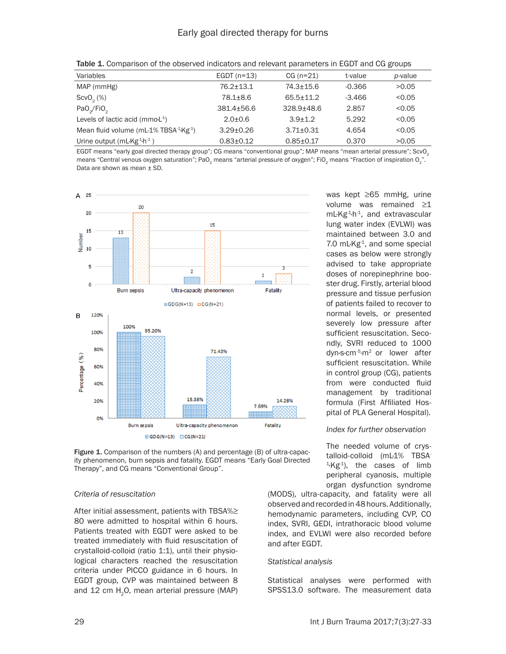| Variables                                 | EGDT $(n=13)$   | $CG (n=21)$     | t-value  | p-value |
|-------------------------------------------|-----------------|-----------------|----------|---------|
| MAP (mmHg)                                | $76.2 + 13.1$   | $74.3 + 15.6$   | $-0.366$ | >0.05   |
| ScvO <sub>2</sub> (%)                     | 78.1±8.6        | $65.5 + 11.2$   | $-3.466$ | < 0.05  |
| PaO <sub>2</sub> /FiO <sub>2</sub>        | $381.4 + 56.6$  | $328.9 + 48.6$  | 2.857    | < 0.05  |
| Levels of lactic acid ( $mmoL1$ )         | $2.0 + 0.6$     | $3.9 + 1.2$     | 5.292    | < 0.05  |
| Mean fluid volume ( $mL1\%$ TBSA $4Kg4$ ) | $3.29 \pm 0.26$ | $3.71 \pm 0.31$ | 4.654    | < 0.05  |
| Urine output $(mLKg1h1)$                  | $0.83 + 0.12$   | $0.85 \pm 0.17$ | 0.370    | >0.05   |

**Table 1.** Comparison of the observed indicators and relevant parameters in EGDT and CG groups

EGDT means "early goal directed therapy group"; CG means "conventional group"; MAP means "mean arterial pressure"; ScvO<sub>2</sub> means "Central venous oxygen saturation"; PaO<sub>2</sub> means "arterial pressure of oxygen"; FiO<sub>2</sub> means "Fraction of inspiration O<sub>2</sub>". Data are shown as mean ± SD.



Figure 1. Comparison of the numbers (A) and percentage (B) of ultra-capacity phenomenon, burn sepsis and fatality. EGDT means "Early Goal Directed Therapy", and CG means "Conventional Group".

# *Criteria of resuscitation*

After initial assessment, patients with TBSA%≥ 80 were admitted to hospital within 6 hours. Patients treated with EGDT were asked to be treated immediately with fluid resuscitation of crystalloid-colloid (ratio 1:1), until their physiological characters reached the resuscitation criteria under PICCO guidance in 6 hours. In EGDT group, CVP was maintained between 8 and  $12$  cm H<sub>2</sub>O, mean arterial pressure (MAP)

was kept ≥65 mmHg, urine volume was remained ≥1 mL·Kg-1·h-1, and extravascular lung water index (EVLWI) was maintained between 3.0 and 7.0 mL $Kg<sup>-1</sup>$ , and some special cases as below were strongly advised to take appropriate doses of norepinephrine booster drug. Firstly, arterial blood pressure and tissue perfusion of patients failed to recover to normal levels, or presented severely low pressure after sufficient resuscitation. Secondly, SVRI reduced to 1000 dyn·s·cm-5·m2 or lower after sufficient resuscitation. While in control group (CG), patients from were conducted fluid management by traditional formula (First Affiliated Hospital of PLA General Hospital).

# *Index for further observation*

The needed volume of crystalloid-colloid (mL·1% TBSA- $4.$ Kg $-1$ ), the cases of limb peripheral cyanosis, multiple organ dysfunction syndrome

(MODS), ultra-capacity, and fatality were all observed and recorded in 48 hours. Additionally, hemodynamic parameters, including CVP, CO index, SVRI, GEDI, intrathoracic blood volume index, and EVLWI were also recorded before and after EGDT.

# *Statistical analysis*

Statistical analyses were performed with SPSS13.0 software. The measurement data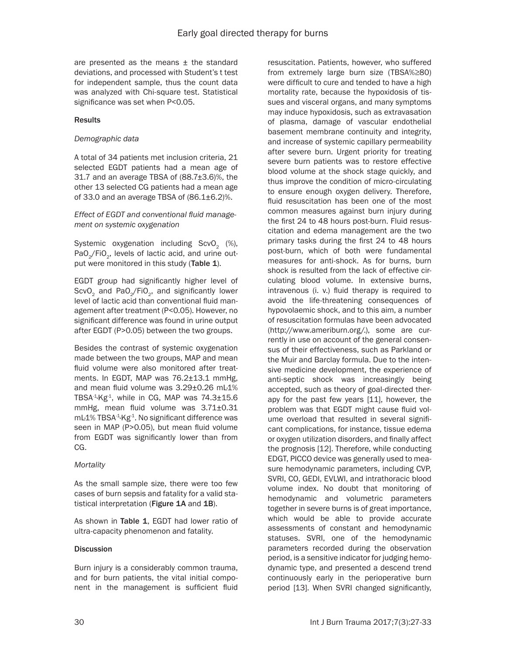are presented as the means  $\pm$  the standard deviations, and processed with Student's t test for independent sample, thus the count data was analyzed with Chi-square test. Statistical significance was set when P<0.05.

# **Results**

# *Demographic data*

A total of 34 patients met inclusion criteria, 21 selected EGDT patients had a mean age of 31.7 and an average TBSA of (88.7±3.6)%, the other 13 selected CG patients had a mean age of 33.0 and an average TBSA of  $(86.1\pm6.2)\%$ .

*Effect of EGDT and conventional fluid management on systemic oxygenation*

Systemic oxygenation including  $ScvO<sub>2</sub>$  (%), PaO<sub>2</sub>/FiO<sub>2</sub>, levels of lactic acid, and urine output were monitored in this study (Table 1).

EGDT group had significantly higher level of ScvO<sub>2</sub> and PaO<sub>2</sub>/FiO<sub>2</sub>, and significantly lower level of lactic acid than conventional fluid management after treatment (p<0.05). However, no significant difference was found in urine output after EGDT (p>0.05) between the two groups.

Besides the contrast of systemic oxygenation made between the two groups, MAP and mean fluid volume were also monitored after treatments. In EGDT, MAP was 76.2±13.1 mmHg, and mean fluid volume was 3.29±0.26 mL·1% TBSA $-1$ <sup>4</sup>Kg $-1$ , while in CG, MAP was  $74.3 \pm 15.6$ mmHg, mean fluid volume was 3.71±0.31 mL·1% TBSA-1·Kg-1. No significant difference was seen in MAP (P>0.05), but mean fluid volume from EGDT was significantly lower than from CG.

# *Mortality*

As the small sample size, there were too few cases of burn sepsis and fatality for a valid statistical interpretation (Figure 1A and 1B).

As shown in Table 1, EGDT had lower ratio of ultra-capacity phenomenon and fatality.

# **Discussion**

Burn injury is a considerably common trauma, and for burn patients, the vital initial component in the management is sufficient fluid

resuscitation. Patients, however, who suffered from extremely large burn size (TBSA%≥80) were difficult to cure and tended to have a high mortality rate, because the hypoxidosis of tissues and visceral organs, and many symptoms may induce hypoxidosis, such as extravasation of plasma, damage of vascular endothelial basement membrane continuity and integrity, and increase of systemic capillary permeability after severe burn. Urgent priority for treating severe burn patients was to restore effective blood volume at the shock stage quickly, and thus improve the condition of micro-circulating to ensure enough oxygen delivery. Therefore, fluid resuscitation has been one of the most common measures against burn injury during the first 24 to 48 hours post-burn. Fluid resuscitation and edema management are the two primary tasks during the first 24 to 48 hours post-burn, which of both were fundamental measures for anti-shock. As for burns, burn shock is resulted from the lack of effective circulating blood volume. In extensive burns, intravenous (i. v.) fluid therapy is required to avoid the life-threatening consequences of hypovolaemic shock, and to this aim, a number of resuscitation formulas have been advocated (http://www.ameriburn.org/.), some are currently in use on account of the general consensus of their effectiveness, such as Parkland or the Muir and Barclay formula. Due to the intensive medicine development, the experience of anti-septic shock was increasingly being accepted, such as theory of goal-directed therapy for the past few years [11], however, the problem was that EGDT might cause fluid volume overload that resulted in several significant complications, for instance, tissue edema or oxygen utilization disorders, and finally affect the prognosis [12]. Therefore, while conducting EDGT, PICCO device was generally used to measure hemodynamic parameters, including CVP, SVRI, CO, GEDI, EVLWI, and intrathoracic blood volume index. No doubt that monitoring of hemodynamic and volumetric parameters together in severe burns is of great importance, which would be able to provide accurate assessments of constant and hemodynamic statuses. SVRI, one of the hemodynamic parameters recorded during the observation period, is a sensitive indicator for judging hemodynamic type, and presented a descend trend continuously early in the perioperative burn period [13]. When SVRI changed significantly,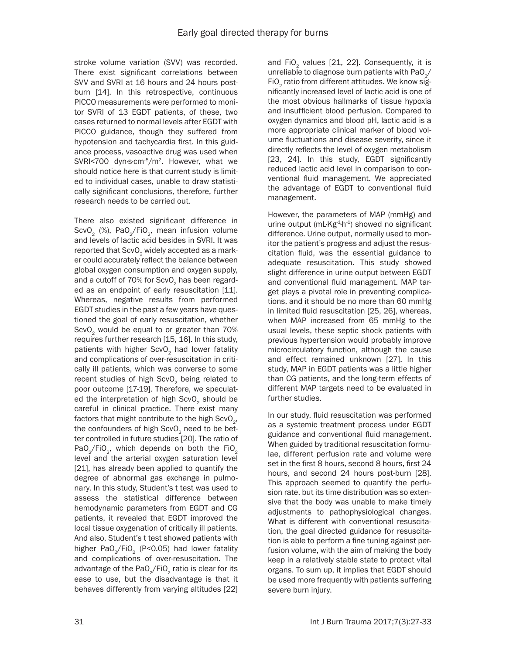stroke volume variation (SVV) was recorded. There exist significant correlations between SVV and SVRI at 16 hours and 24 hours postburn [14]. In this retrospective, continuous PICCO measurements were performed to monitor SVRI of 13 EGDT patients, of these, two cases returned to normal levels after EGDT with PICCO guidance, though they suffered from hypotension and tachycardia first. In this guidance process, vasoactive drug was used when SVRI<700 dyn·s·cm-5/m2. However, what we should notice here is that current study is limited to individual cases, unable to draw statistically significant conclusions, therefore, further research needs to be carried out.

There also existed significant difference in ScvO<sub>2</sub> (%), PaO<sub>2</sub>/FiO<sub>2</sub>, mean infusion volume and levels of lactic acid besides in SVRI. It was reported that ScvO<sub>2</sub> widely accepted as a marker could accurately reflect the balance between global oxygen consumption and oxygen supply, and a cutoff of 70% for ScvO<sub>2</sub> has been regarded as an endpoint of early resuscitation [11]. Whereas, negative results from performed EGDT studies in the past a few years have questioned the goal of early resuscitation, whether ScvO<sub>2</sub> would be equal to or greater than 70% requires further research [15, 16]. In this study, patients with higher ScvO<sub>2</sub> had lower fatality and complications of over-resuscitation in critically ill patients, which was converse to some recent studies of high ScvO<sub>2</sub> being related to poor outcome [17-19]. Therefore, we speculated the interpretation of high ScvO<sub>2</sub> should be careful in clinical practice. There exist many factors that might contribute to the high  $ScvO<sub>2</sub>$ , the confounders of high ScvO<sub>2</sub> need to be better controlled in future studies [20]. The ratio of PaO<sub>2</sub>/FiO<sub>2</sub>, which depends on both the FiO<sub>2</sub> level and the arterial oxygen saturation level [21], has already been applied to quantify the degree of abnormal gas exchange in pulmonary. In this study, Student's t test was used to assess the statistical difference between hemodynamic parameters from EGDT and CG patients, it revealed that EGDT improved the local tissue oxygenation of critically ill patients. And also, Student's t test showed patients with higher PaO<sub>2</sub>/FiO<sub>2</sub> (P<0.05) had lower fatality and complications of over-resuscitation. The advantage of the PaO<sub>2</sub>/FiO<sub>2</sub> ratio is clear for its ease to use, but the disadvantage is that it behaves differently from varying altitudes [22] and FiO<sub>2</sub> values [21, 22]. Consequently, it is unreliable to diagnose burn patients with PaO $\sqrt{}$ FiO<sub>2</sub> ratio from different attitudes. We know significantly increased level of lactic acid is one of the most obvious hallmarks of tissue hypoxia and insufficient blood perfusion. Compared to oxygen dynamics and blood pH, lactic acid is a more appropriate clinical marker of blood volume fluctuations and disease severity, since it directly reflects the level of oxygen metabolism [23, 24]. In this study, EGDT significantly reduced lactic acid level in comparison to conventional fluid management. We appreciated the advantage of EGDT to conventional fluid management.

However, the parameters of MAP (mmHg) and urine output (mL·Kg<sup>-1</sup> $h$ <sup>-1</sup>) showed no significant difference. Urine output, normally used to monitor the patient's progress and adjust the resuscitation fluid, was the essential guidance to adequate resuscitation. This study showed slight difference in urine output between EGDT and conventional fluid management. MAP target plays a pivotal role in preventing complications, and it should be no more than 60 mmHg in limited fluid resuscitation [25, 26], whereas, when MAP increased from 65 mmHg to the usual levels, these septic shock patients with previous hypertension would probably improve microcirculatory function, although the cause and effect remained unknown [27]. In this study, MAP in EGDT patients was a little higher than CG patients, and the long-term effects of different MAP targets need to be evaluated in further studies.

In our study, fluid resuscitation was performed as a systemic treatment process under EGDT guidance and conventional fluid management. When guided by traditional resuscitation formulae, different perfusion rate and volume were set in the first 8 hours, second 8 hours, first 24 hours, and second 24 hours post-burn [28]. This approach seemed to quantify the perfusion rate, but its time distribution was so extensive that the body was unable to make timely adjustments to pathophysiological changes. What is different with conventional resuscitation, the goal directed guidance for resuscitation is able to perform a fine tuning against perfusion volume, with the aim of making the body keep in a relatively stable state to protect vital organs. To sum up, it implies that EGDT should be used more frequently with patients suffering severe burn injury.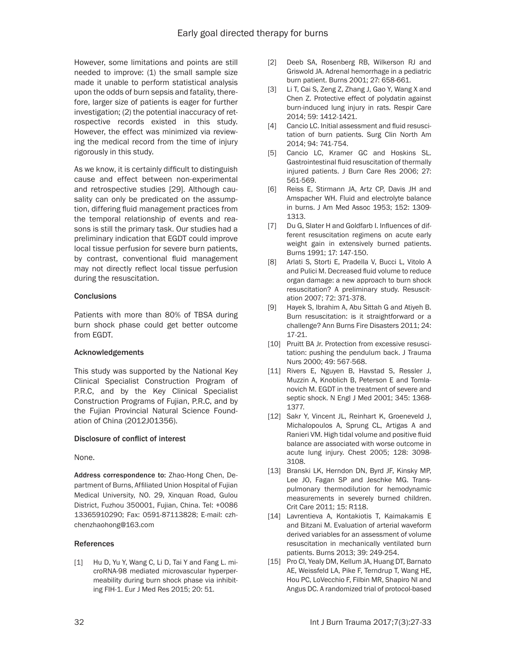However, some limitations and points are still needed to improve: (1) the small sample size made it unable to perform statistical analysis upon the odds of burn sepsis and fatality, therefore, larger size of patients is eager for further investigation; (2) the potential inaccuracy of retrospective records existed in this study. However, the effect was minimized via reviewing the medical record from the time of injury rigorously in this study.

As we know, it is certainly difficult to distinguish cause and effect between non-experimental and retrospective studies [29]. Although causality can only be predicated on the assumption, differing fluid management practices from the temporal relationship of events and reasons is still the primary task. Our studies had a preliminary indication that EGDT could improve local tissue perfusion for severe burn patients, by contrast, conventional fluid management may not directly reflect local tissue perfusion during the resuscitation.

### **Conclusions**

Patients with more than 80% of TBSA during burn shock phase could get better outcome from EGDT.

# Acknowledgements

This study was supported by the National Key Clinical Specialist Construction Program of P.R.C, and by the Key Clinical Specialist Construction Programs of Fujian, P.R.C, and by the Fujian Provincial Natural Science Foundation of China (2012J01356).

#### Disclosure of conflict of interest

None.

Address correspondence to: Zhao-Hong Chen, Department of Burns, Affiliated Union Hospital of Fujian Medical University, NO. 29, Xinquan Road, Gulou District, Fuzhou 350001, Fujian, China. Tel: +0086 13365910290; Fax: 0591-87113828; E-mail: [czh](mailto:czhchenzhaohong@163.com)[chenzhaohong@163.com](mailto:czhchenzhaohong@163.com)

# References

[1] Hu D, Yu Y, Wang C, Li D, Tai Y and Fang L. microRNA-98 mediated microvascular hyperpermeability during burn shock phase via inhibiting FIH-1. Eur J Med Res 2015; 20: 51.

- [2] Deeb SA, Rosenberg RB, Wilkerson RJ and Griswold JA. Adrenal hemorrhage in a pediatric burn patient. Burns 2001; 27: 658-661.
- [3] Li T, Cai S, Zeng Z, Zhang J, Gao Y, Wang X and Chen Z. Protective effect of polydatin against burn-induced lung injury in rats. Respir Care 2014; 59: 1412-1421.
- [4] Cancio LC. Initial assessment and fluid resuscitation of burn patients. Surg Clin North Am 2014; 94: 741-754.
- [5] Cancio LC, Kramer GC and Hoskins SL. Gastrointestinal fluid resuscitation of thermally injured patients. J Burn Care Res 2006; 27: 561-569.
- [6] Reiss E, Stirmann JA, Artz CP, Davis JH and Amspacher WH. Fluid and electrolyte balance in burns. J Am Med Assoc 1953; 152: 1309- 1313.
- [7] Du G, Slater H and Goldfarb I. Influences of different resuscitation regimens on acute early weight gain in extensively burned patients. Burns 1991; 17: 147-150.
- [8] Arlati S, Storti E, Pradella V, Bucci L, Vitolo A and Pulici M. Decreased fluid volume to reduce organ damage: a new approach to burn shock resuscitation? A preliminary study. Resuscitation 2007; 72: 371-378.
- [9] Hayek S, Ibrahim A, Abu Sittah G and Atiyeh B. Burn resuscitation: is it straightforward or a challenge? Ann Burns Fire Disasters 2011; 24: 17-21.
- [10] Pruitt BA Jr. Protection from excessive resuscitation: pushing the pendulum back. J Trauma Nurs 2000; 49: 567-568.
- [11] Rivers E, Nguyen B, Havstad S, Ressler J, Muzzin A, Knoblich B, Peterson E and Tomlanovich M. EGDT in the treatment of severe and septic shock. N Engl J Med 2001; 345: 1368- 1377.
- [12] Sakr Y, Vincent JL, Reinhart K, Groeneveld J, Michalopoulos A, Sprung CL, Artigas A and Ranieri VM. High tidal volume and positive fluid balance are associated with worse outcome in acute lung injury. Chest 2005; 128: 3098- 3108.
- [13] Branski LK, Herndon DN, Byrd JF, Kinsky MP, Lee JO, Fagan SP and Jeschke MG. Transpulmonary thermodilution for hemodynamic measurements in severely burned children. Crit Care 2011; 15: R118.
- [14] Lavrentieva A, Kontakiotis T, Kaimakamis E and Bitzani M. Evaluation of arterial waveform derived variables for an assessment of volume resuscitation in mechanically ventilated burn patients. Burns 2013; 39: 249-254.
- [15] Pro Cl, Yealy DM, Kellum JA, Huang DT, Barnato AE, Weissfeld LA, Pike F, Terndrup T, Wang HE, Hou PC, LoVecchio F, Filbin MR, Shapiro NI and Angus DC. A randomized trial of protocol-based